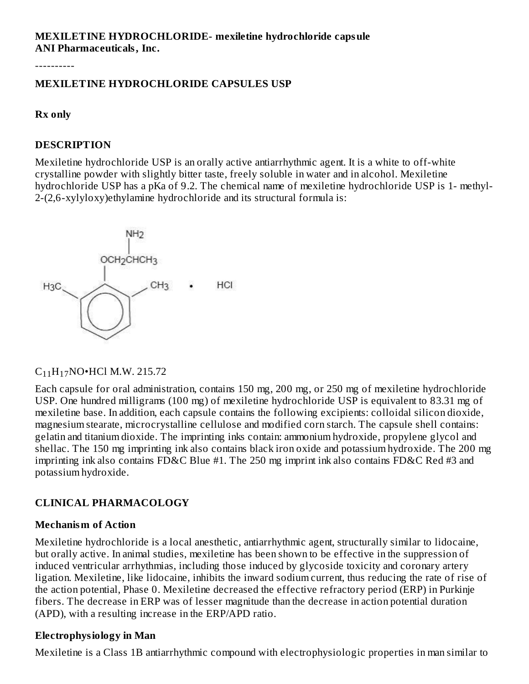### **MEXILETINE HYDROCHLORIDE- mexiletine hydrochloride capsule ANI Pharmaceuticals, Inc.**

----------

#### **MEXILETINE HYDROCHLORIDE CAPSULES USP**

#### **Rx only**

#### **DESCRIPTION**

Mexiletine hydrochloride USP is an orally active antiarrhythmic agent. It is a white to off-white crystalline powder with slightly bitter taste, freely soluble in water and in alcohol. Mexiletine hydrochloride USP has a pKa of 9.2. The chemical name of mexiletine hydrochloride USP is 1- methyl-2-(2,6-xylyloxy)ethylamine hydrochloride and its structural formula is:



# $C_{11}H_{17}NO$ •HCl M.W. 215.72

Each capsule for oral administration, contains 150 mg, 200 mg, or 250 mg of mexiletine hydrochloride USP. One hundred milligrams (100 mg) of mexiletine hydrochloride USP is equivalent to 83.31 mg of mexiletine base. In addition, each capsule contains the following excipients: colloidal silicon dioxide, magnesium stearate, microcrystalline cellulose and modified corn starch. The capsule shell contains: gelatin and titanium dioxide. The imprinting inks contain: ammonium hydroxide, propylene glycol and shellac. The 150 mg imprinting ink also contains black iron oxide and potassium hydroxide. The 200 mg imprinting ink also contains FD&C Blue #1. The 250 mg imprint ink also contains FD&C Red #3 and potassium hydroxide.

### **CLINICAL PHARMACOLOGY**

#### **Mechanism of Action**

Mexiletine hydrochloride is a local anesthetic, antiarrhythmic agent, structurally similar to lidocaine, but orally active. In animal studies, mexiletine has been shown to be effective in the suppression of induced ventricular arrhythmias, including those induced by glycoside toxicity and coronary artery ligation. Mexiletine, like lidocaine, inhibits the inward sodium current, thus reducing the rate of rise of the action potential, Phase 0. Mexiletine decreased the effective refractory period (ERP) in Purkinje fibers. The decrease in ERP was of lesser magnitude than the decrease in action potential duration (APD), with a resulting increase in the ERP/APD ratio.

#### **Electrophysiology in Man**

Mexiletine is a Class 1B antiarrhythmic compound with electrophysiologic properties in man similar to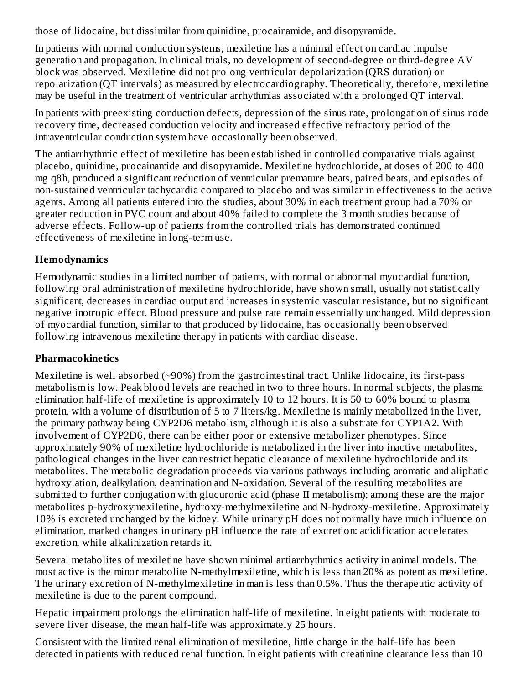those of lidocaine, but dissimilar from quinidine, procainamide, and disopyramide.

In patients with normal conduction systems, mexiletine has a minimal effect on cardiac impulse generation and propagation. In clinical trials, no development of second-degree or third-degree AV block was observed. Mexiletine did not prolong ventricular depolarization (QRS duration) or repolarization (QT intervals) as measured by electrocardiography. Theoretically, therefore, mexiletine may be useful in the treatment of ventricular arrhythmias associated with a prolonged QT interval.

In patients with preexisting conduction defects, depression of the sinus rate, prolongation of sinus node recovery time, decreased conduction velocity and increased effective refractory period of the intraventricular conduction system have occasionally been observed.

The antiarrhythmic effect of mexiletine has been established in controlled comparative trials against placebo, quinidine, procainamide and disopyramide. Mexiletine hydrochloride, at doses of 200 to 400 mg q8h, produced a significant reduction of ventricular premature beats, paired beats, and episodes of non-sustained ventricular tachycardia compared to placebo and was similar in effectiveness to the active agents. Among all patients entered into the studies, about 30% in each treatment group had a 70% or greater reduction in PVC count and about 40% failed to complete the 3 month studies because of adverse effects. Follow-up of patients from the controlled trials has demonstrated continued effectiveness of mexiletine in long-term use.

## **Hemodynamics**

Hemodynamic studies in a limited number of patients, with normal or abnormal myocardial function, following oral administration of mexiletine hydrochloride, have shown small, usually not statistically significant, decreases in cardiac output and increases in systemic vascular resistance, but no significant negative inotropic effect. Blood pressure and pulse rate remain essentially unchanged. Mild depression of myocardial function, similar to that produced by lidocaine, has occasionally been observed following intravenous mexiletine therapy in patients with cardiac disease.

## **Pharmacokinetics**

Mexiletine is well absorbed (~90%) from the gastrointestinal tract. Unlike lidocaine, its first-pass metabolism is low. Peak blood levels are reached in two to three hours. In normal subjects, the plasma elimination half-life of mexiletine is approximately 10 to 12 hours. It is 50 to 60% bound to plasma protein, with a volume of distribution of 5 to 7 liters/kg. Mexiletine is mainly metabolized in the liver, the primary pathway being CYP2D6 metabolism, although it is also a substrate for CYP1A2. With involvement of CYP2D6, there can be either poor or extensive metabolizer phenotypes. Since approximately 90% of mexiletine hydrochloride is metabolized in the liver into inactive metabolites, pathological changes in the liver can restrict hepatic clearance of mexiletine hydrochloride and its metabolites. The metabolic degradation proceeds via various pathways including aromatic and aliphatic hydroxylation, dealkylation, deamination and N-oxidation. Several of the resulting metabolites are submitted to further conjugation with glucuronic acid (phase II metabolism); among these are the major metabolites p-hydroxymexiletine, hydroxy-methylmexiletine and N-hydroxy-mexiletine. Approximately 10% is excreted unchanged by the kidney. While urinary pH does not normally have much influence on elimination, marked changes in urinary pH influence the rate of excretion: acidification accelerates excretion, while alkalinization retards it.

Several metabolites of mexiletine have shown minimal antiarrhythmics activity in animal models. The most active is the minor metabolite N-methylmexiletine, which is less than 20% as potent as mexiletine. The urinary excretion of N-methylmexiletine in man is less than 0.5%. Thus the therapeutic activity of mexiletine is due to the parent compound.

Hepatic impairment prolongs the elimination half-life of mexiletine. In eight patients with moderate to severe liver disease, the mean half-life was approximately 25 hours.

Consistent with the limited renal elimination of mexiletine, little change in the half-life has been detected in patients with reduced renal function. In eight patients with creatinine clearance less than 10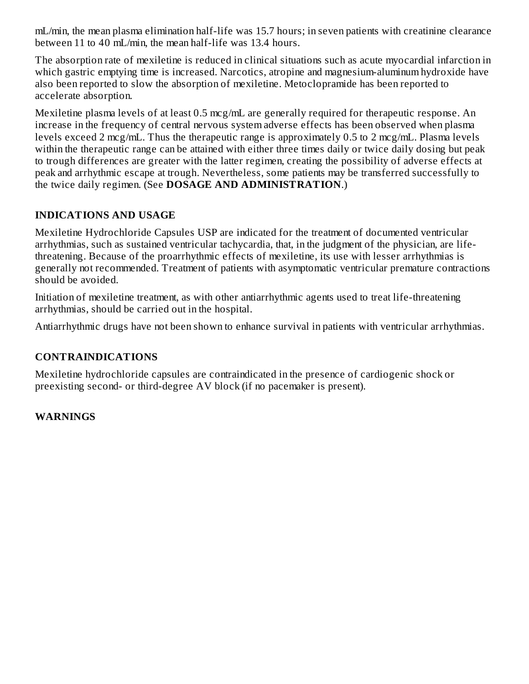mL/min, the mean plasma elimination half-life was 15.7 hours; in seven patients with creatinine clearance between 11 to 40 mL/min, the mean half-life was 13.4 hours.

The absorption rate of mexiletine is reduced in clinical situations such as acute myocardial infarction in which gastric emptying time is increased. Narcotics, atropine and magnesium-aluminum hydroxide have also been reported to slow the absorption of mexiletine. Metoclopramide has been reported to accelerate absorption.

Mexiletine plasma levels of at least 0.5 mcg/mL are generally required for therapeutic response. An increase in the frequency of central nervous system adverse effects has been observed when plasma levels exceed 2 mcg/mL. Thus the therapeutic range is approximately 0.5 to 2 mcg/mL. Plasma levels within the therapeutic range can be attained with either three times daily or twice daily dosing but peak to trough differences are greater with the latter regimen, creating the possibility of adverse effects at peak and arrhythmic escape at trough. Nevertheless, some patients may be transferred successfully to the twice daily regimen. (See **DOSAGE AND ADMINISTRATION**.)

### **INDICATIONS AND USAGE**

Mexiletine Hydrochloride Capsules USP are indicated for the treatment of documented ventricular arrhythmias, such as sustained ventricular tachycardia, that, in the judgment of the physician, are lifethreatening. Because of the proarrhythmic effects of mexiletine, its use with lesser arrhythmias is generally not recommended. Treatment of patients with asymptomatic ventricular premature contractions should be avoided.

Initiation of mexiletine treatment, as with other antiarrhythmic agents used to treat life-threatening arrhythmias, should be carried out in the hospital.

Antiarrhythmic drugs have not been shown to enhance survival in patients with ventricular arrhythmias.

### **CONTRAINDICATIONS**

Mexiletine hydrochloride capsules are contraindicated in the presence of cardiogenic shock or preexisting second- or third-degree AV block (if no pacemaker is present).

### **WARNINGS**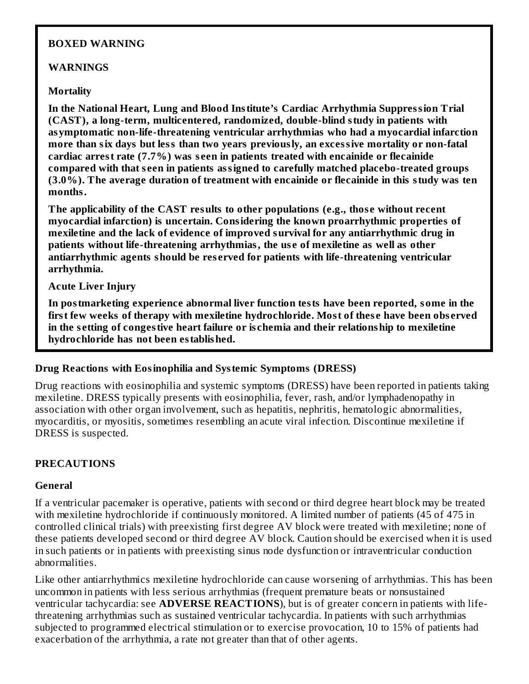#### **BOXED WARNING**

#### **WARNINGS**

#### **Mortality**

**In the National Heart, Lung and Blood Institute's Cardiac Arrhythmia Suppression Trial (CAST), a long-term, multicentered, randomized, double-blind study in patients with asymptomatic non-life-threatening ventricular arrhythmias who had a myocardial infarction more than six days but less than two years previously, an excessive mortality or non-fatal cardiac arrest rate (7.7%) was s een in patients treated with encainide or flecainide compared with that s een in patients assigned to carefully matched placebo-treated groups (3.0%). The average duration of treatment with encainide or flecainide in this study was ten months.**

**The applicability of the CAST results to other populations (e.g., thos e without recent myocardial infarction) is uncertain. Considering the known proarrhythmic properties of mexiletine and the lack of evidence of improved survival for any antiarrhythmic drug in patients without life-threatening arrhythmias, the us e of mexiletine as well as other antiarrhythmic agents should be res erved for patients with life-threatening ventricular arrhythmia.**

#### **Acute Liver Injury**

**In postmarketing experience abnormal liver function tests have been reported, some in the first few weeks of therapy with mexiletine hydrochloride. Most of thes e have been obs erved in the s etting of congestive heart failure or is chemia and their relationship to mexiletine hydrochloride has not been established.**

#### **Drug Reactions with Eosinophilia and Systemic Symptoms (DRESS)**

Drug reactions with eosinophilia and systemic symptoms (DRESS) have been reported in patients taking mexiletine. DRESS typically presents with eosinophilia, fever, rash, and/or lymphadenopathy in association with other organ involvement, such as hepatitis, nephritis, hematologic abnormalities, myocarditis, or myositis, sometimes resembling an acute viral infection. Discontinue mexiletine if DRESS is suspected.

### **PRECAUTIONS**

#### **General**

If a ventricular pacemaker is operative, patients with second or third degree heart block may be treated with mexiletine hydrochloride if continuously monitored. A limited number of patients (45 of 475 in controlled clinical trials) with preexisting first degree AV block were treated with mexiletine; none of these patients developed second or third degree AV block. Caution should be exercised when it is used in such patients or in patients with preexisting sinus node dysfunction or intraventricular conduction abnormalities.

Like other antiarrhythmics mexiletine hydrochloride can cause worsening of arrhythmias. This has been uncommon in patients with less serious arrhythmias (frequent premature beats or nonsustained ventricular tachycardia: see **ADVERSE REACTIONS**), but is of greater concern in patients with lifethreatening arrhythmias such as sustained ventricular tachycardia. In patients with such arrhythmias subjected to programmed electrical stimulation or to exercise provocation, 10 to 15% of patients had exacerbation of the arrhythmia, a rate not greater than that of other agents.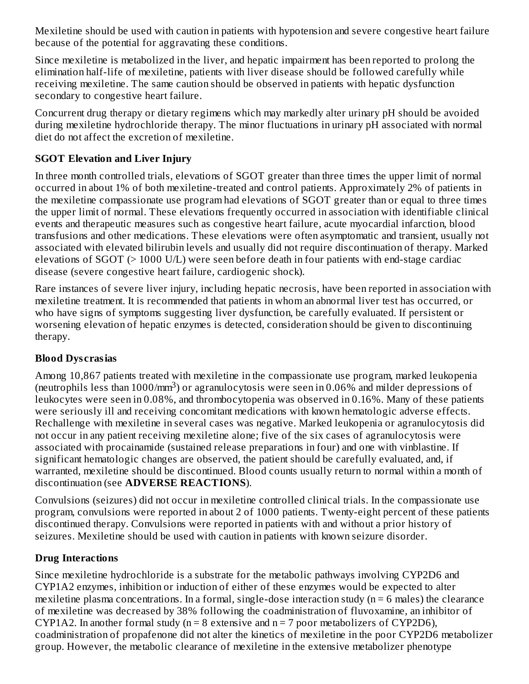Mexiletine should be used with caution in patients with hypotension and severe congestive heart failure because of the potential for aggravating these conditions.

Since mexiletine is metabolized in the liver, and hepatic impairment has been reported to prolong the elimination half-life of mexiletine, patients with liver disease should be followed carefully while receiving mexiletine. The same caution should be observed in patients with hepatic dysfunction secondary to congestive heart failure.

Concurrent drug therapy or dietary regimens which may markedly alter urinary pH should be avoided during mexiletine hydrochloride therapy. The minor fluctuations in urinary pH associated with normal diet do not affect the excretion of mexiletine.

## **SGOT Elevation and Liver Injury**

In three month controlled trials, elevations of SGOT greater than three times the upper limit of normal occurred in about 1% of both mexiletine-treated and control patients. Approximately 2% of patients in the mexiletine compassionate use program had elevations of SGOT greater than or equal to three times the upper limit of normal. These elevations frequently occurred in association with identifiable clinical events and therapeutic measures such as congestive heart failure, acute myocardial infarction, blood transfusions and other medications. These elevations were often asymptomatic and transient, usually not associated with elevated bilirubin levels and usually did not require discontinuation of therapy. Marked elevations of SGOT (> 1000 U/L) were seen before death in four patients with end-stage cardiac disease (severe congestive heart failure, cardiogenic shock).

Rare instances of severe liver injury, including hepatic necrosis, have been reported in association with mexiletine treatment. It is recommended that patients in whom an abnormal liver test has occurred, or who have signs of symptoms suggesting liver dysfunction, be carefully evaluated. If persistent or worsening elevation of hepatic enzymes is detected, consideration should be given to discontinuing therapy.

## **Blood Dys crasias**

Among 10,867 patients treated with mexiletine in the compassionate use program, marked leukopenia (neutrophils less than 1000/mm<sup>3</sup>) or agranulocytosis were seen in 0.06% and milder depressions of leukocytes were seen in 0.08%, and thrombocytopenia was observed in 0.16%. Many of these patients were seriously ill and receiving concomitant medications with known hematologic adverse effects. Rechallenge with mexiletine in several cases was negative. Marked leukopenia or agranulocytosis did not occur in any patient receiving mexiletine alone; five of the six cases of agranulocytosis were associated with procainamide (sustained release preparations in four) and one with vinblastine. If significant hematologic changes are observed, the patient should be carefully evaluated, and, if warranted, mexiletine should be discontinued. Blood counts usually return to normal within a month of discontinuation (see **ADVERSE REACTIONS**).

Convulsions (seizures) did not occur in mexiletine controlled clinical trials. In the compassionate use program, convulsions were reported in about 2 of 1000 patients. Twenty-eight percent of these patients discontinued therapy. Convulsions were reported in patients with and without a prior history of seizures. Mexiletine should be used with caution in patients with known seizure disorder.

## **Drug Interactions**

Since mexiletine hydrochloride is a substrate for the metabolic pathways involving CYP2D6 and CYP1A2 enzymes, inhibition or induction of either of these enzymes would be expected to alter mexiletine plasma concentrations. In a formal, single-dose interaction study ( $n = 6$  males) the clearance of mexiletine was decreased by 38% following the coadministration of fluvoxamine, an inhibitor of CYP1A2. In another formal study ( $n = 8$  extensive and  $n = 7$  poor metabolizers of CYP2D6), coadministration of propafenone did not alter the kinetics of mexiletine in the poor CYP2D6 metabolizer group. However, the metabolic clearance of mexiletine in the extensive metabolizer phenotype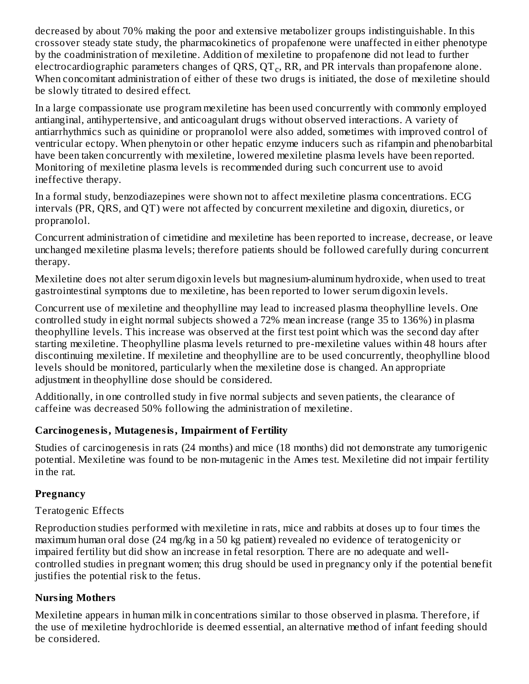decreased by about 70% making the poor and extensive metabolizer groups indistinguishable. In this crossover steady state study, the pharmacokinetics of propafenone were unaffected in either phenotype by the coadministration of mexiletine. Addition of mexiletine to propafenone did not lead to further electrocardiographic parameters changes of QRS, QT $_{\rm c}$ , RR, and PR intervals than propafenone alone. When concomitant administration of either of these two drugs is initiated, the dose of mexiletine should be slowly titrated to desired effect.

In a large compassionate use program mexiletine has been used concurrently with commonly employed antianginal, antihypertensive, and anticoagulant drugs without observed interactions. A variety of antiarrhythmics such as quinidine or propranolol were also added, sometimes with improved control of ventricular ectopy. When phenytoin or other hepatic enzyme inducers such as rifampin and phenobarbital have been taken concurrently with mexiletine, lowered mexiletine plasma levels have been reported. Monitoring of mexiletine plasma levels is recommended during such concurrent use to avoid ineffective therapy.

In a formal study, benzodiazepines were shown not to affect mexiletine plasma concentrations. ECG intervals (PR, QRS, and QT) were not affected by concurrent mexiletine and digoxin, diuretics, or propranolol.

Concurrent administration of cimetidine and mexiletine has been reported to increase, decrease, or leave unchanged mexiletine plasma levels; therefore patients should be followed carefully during concurrent therapy.

Mexiletine does not alter serum digoxin levels but magnesium-aluminum hydroxide, when used to treat gastrointestinal symptoms due to mexiletine, has been reported to lower serum digoxin levels.

Concurrent use of mexiletine and theophylline may lead to increased plasma theophylline levels. One controlled study in eight normal subjects showed a 72% mean increase (range 35 to 136%) in plasma theophylline levels. This increase was observed at the first test point which was the second day after starting mexiletine. Theophylline plasma levels returned to pre-mexiletine values within 48 hours after discontinuing mexiletine. If mexiletine and theophylline are to be used concurrently, theophylline blood levels should be monitored, particularly when the mexiletine dose is changed. An appropriate adjustment in theophylline dose should be considered.

Additionally, in one controlled study in five normal subjects and seven patients, the clearance of caffeine was decreased 50% following the administration of mexiletine.

## **Carcinogenesis, Mutagenesis, Impairment of Fertility**

Studies of carcinogenesis in rats (24 months) and mice (18 months) did not demonstrate any tumorigenic potential. Mexiletine was found to be non-mutagenic in the Ames test. Mexiletine did not impair fertility in the rat.

### **Pregnancy**

## Teratogenic Effects

Reproduction studies performed with mexiletine in rats, mice and rabbits at doses up to four times the maximum human oral dose (24 mg/kg in a 50 kg patient) revealed no evidence of teratogenicity or impaired fertility but did show an increase in fetal resorption. There are no adequate and wellcontrolled studies in pregnant women; this drug should be used in pregnancy only if the potential benefit justifies the potential risk to the fetus.

## **Nursing Mothers**

Mexiletine appears in human milk in concentrations similar to those observed in plasma. Therefore, if the use of mexiletine hydrochloride is deemed essential, an alternative method of infant feeding should be considered.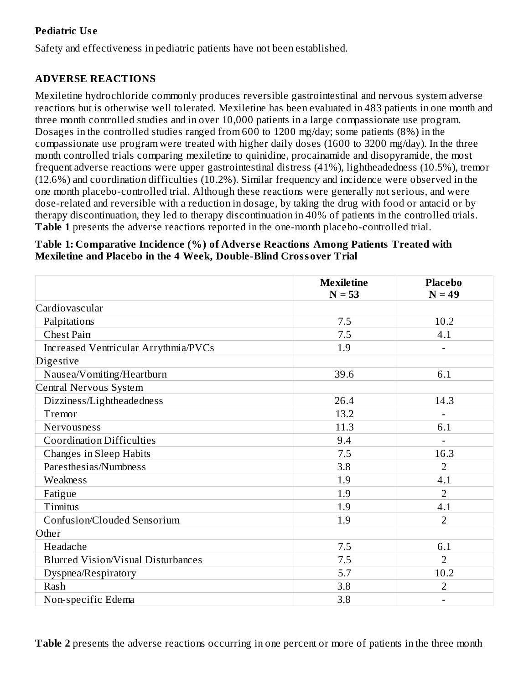### **Pediatric Us e**

Safety and effectiveness in pediatric patients have not been established.

## **ADVERSE REACTIONS**

Mexiletine hydrochloride commonly produces reversible gastrointestinal and nervous system adverse reactions but is otherwise well tolerated. Mexiletine has been evaluated in 483 patients in one month and three month controlled studies and in over 10,000 patients in a large compassionate use program. Dosages in the controlled studies ranged from 600 to 1200 mg/day; some patients (8%) in the compassionate use program were treated with higher daily doses (1600 to 3200 mg/day). In the three month controlled trials comparing mexiletine to quinidine, procainamide and disopyramide, the most frequent adverse reactions were upper gastrointestinal distress (41%), lightheadedness (10.5%), tremor (12.6%) and coordination difficulties (10.2%). Similar frequency and incidence were observed in the one month placebo-controlled trial. Although these reactions were generally not serious, and were dose-related and reversible with a reduction in dosage, by taking the drug with food or antacid or by therapy discontinuation, they led to therapy discontinuation in 40% of patients in the controlled trials. **Table 1** presents the adverse reactions reported in the one-month placebo-controlled trial.

#### **Table 1: Comparative Incidence (%) of Advers e Reactions Among Patients Treated with Mexiletine and Placebo in the 4 Week, Double-Blind Crossover Trial**

|                                           | <b>Mexiletine</b><br>$N = 53$ | <b>Placebo</b><br>$N = 49$ |
|-------------------------------------------|-------------------------------|----------------------------|
| Cardiovascular                            |                               |                            |
| Palpitations                              | 7.5                           | 10.2                       |
| <b>Chest Pain</b>                         | 7.5                           | 4.1                        |
| Increased Ventricular Arrythmia/PVCs      | 1.9                           | ÷                          |
| Digestive                                 |                               |                            |
| Nausea/Vomiting/Heartburn                 | 39.6                          | 6.1                        |
| Central Nervous System                    |                               |                            |
| Dizziness/Lightheadedness                 | 26.4                          | 14.3                       |
| Tremor                                    | 13.2                          |                            |
| Nervousness                               | 11.3                          | 6.1                        |
| <b>Coordination Difficulties</b>          | 9.4                           |                            |
| <b>Changes in Sleep Habits</b>            | 7.5                           | 16.3                       |
| Paresthesias/Numbness                     | 3.8                           | $\overline{2}$             |
| Weakness                                  | 1.9                           | 4.1                        |
| Fatigue                                   | 1.9                           | $\overline{2}$             |
| Tinnitus                                  | 1.9                           | 4.1                        |
| Confusion/Clouded Sensorium               | 1.9                           | $\overline{2}$             |
| Other                                     |                               |                            |
| Headache                                  | 7.5                           | 6.1                        |
| <b>Blurred Vision/Visual Disturbances</b> | 7.5                           | $\overline{2}$             |
| Dyspnea/Respiratory                       | 5.7                           | 10.2                       |
| Rash                                      | 3.8                           | $\overline{2}$             |
| Non-specific Edema                        | 3.8                           |                            |

**Table 2** presents the adverse reactions occurring in one percent or more of patients in the three month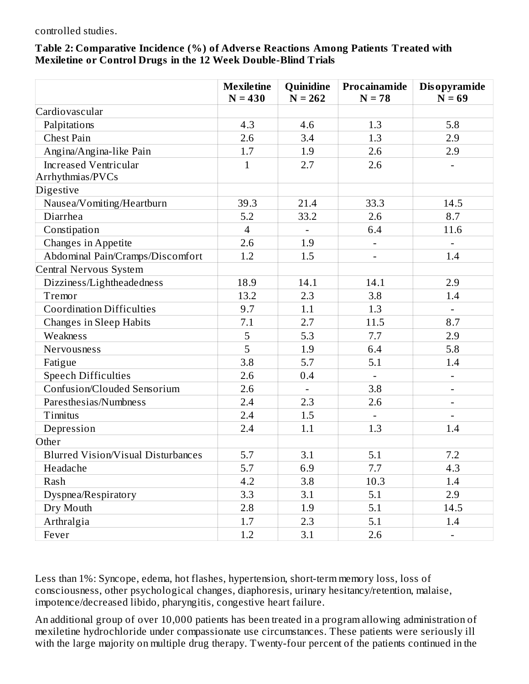#### controlled studies.

#### **Table 2: Comparative Incidence (%) of Advers e Reactions Among Patients Treated with Mexiletine or Control Drugs in the 12 Week Double-Blind Trials**

|                                                  | <b>Mexiletine</b><br>$N = 430$ | Quinidine<br>$N = 262$ | Procainamide<br>$N = 78$     | <b>Disopyramide</b><br>$N = 69$ |
|--------------------------------------------------|--------------------------------|------------------------|------------------------------|---------------------------------|
| Cardiovascular                                   |                                |                        |                              |                                 |
| Palpitations                                     | 4.3                            | 4.6                    | 1.3                          | 5.8                             |
| <b>Chest Pain</b>                                | 2.6                            | 3.4                    | 1.3                          | 2.9                             |
| Angina/Angina-like Pain                          | 1.7                            | 1.9                    | 2.6                          | 2.9                             |
| <b>Increased Ventricular</b><br>Arrhythmias/PVCs | $\mathbf{1}$                   | 2.7                    | 2.6                          |                                 |
| Digestive                                        |                                |                        |                              |                                 |
| Nausea/Vomiting/Heartburn                        | 39.3                           | 21.4                   | 33.3                         | 14.5                            |
| Diarrhea                                         | 5.2                            | 33.2                   | 2.6                          | 8.7                             |
| Constipation                                     | $\overline{4}$                 | $\blacksquare$         | 6.4                          | 11.6                            |
| Changes in Appetite                              | 2.6                            | 1.9                    |                              |                                 |
| Abdominal Pain/Cramps/Discomfort                 | 1.2                            | 1.5                    | $\qquad \qquad \blacksquare$ | 1.4                             |
| Central Nervous System                           |                                |                        |                              |                                 |
| Dizziness/Lightheadedness                        | 18.9                           | 14.1                   | 14.1                         | 2.9                             |
| Tremor                                           | 13.2                           | 2.3                    | 3.8                          | 1.4                             |
| <b>Coordination Difficulties</b>                 | 9.7                            | 1.1                    | 1.3                          |                                 |
| <b>Changes in Sleep Habits</b>                   | 7.1                            | 2.7                    | 11.5                         | 8.7                             |
| Weakness                                         | 5                              | 5.3                    | 7.7                          | 2.9                             |
| Nervousness                                      | $\overline{5}$                 | 1.9                    | 6.4                          | 5.8                             |
| Fatigue                                          | 3.8                            | 5.7                    | 5.1                          | 1.4                             |
| <b>Speech Difficulties</b>                       | 2.6                            | 0.4                    |                              | $\overline{\phantom{a}}$        |
| Confusion/Clouded Sensorium                      | 2.6                            | $\overline{a}$         | 3.8                          |                                 |
| Paresthesias/Numbness                            | 2.4                            | 2.3                    | 2.6                          | $\qquad \qquad \blacksquare$    |
| Tinnitus                                         | 2.4                            | 1.5                    |                              |                                 |
| Depression                                       | 2.4                            | 1.1                    | 1.3                          | 1.4                             |
| Other                                            |                                |                        |                              |                                 |
| <b>Blurred Vision/Visual Disturbances</b>        | 5.7                            | 3.1                    | 5.1                          | 7.2                             |
| Headache                                         | 5.7                            | 6.9                    | 7.7                          | 4.3                             |
| Rash                                             | 4.2                            | 3.8                    | 10.3                         | 1.4                             |
| Dyspnea/Respiratory                              | 3.3                            | 3.1                    | 5.1                          | 2.9                             |
| Dry Mouth                                        | 2.8                            | 1.9                    | 5.1                          | 14.5                            |
| Arthralgia                                       | 1.7                            | 2.3                    | 5.1                          | 1.4                             |
| Fever                                            | 1.2                            | 3.1                    | 2.6                          |                                 |

Less than 1%: Syncope, edema, hot flashes, hypertension, short-term memory loss, loss of consciousness, other psychological changes, diaphoresis, urinary hesitancy/retention, malaise, impotence/decreased libido, pharyngitis, congestive heart failure.

An additional group of over 10,000 patients has been treated in a program allowing administration of mexiletine hydrochloride under compassionate use circumstances. These patients were seriously ill with the large majority on multiple drug therapy. Twenty-four percent of the patients continued in the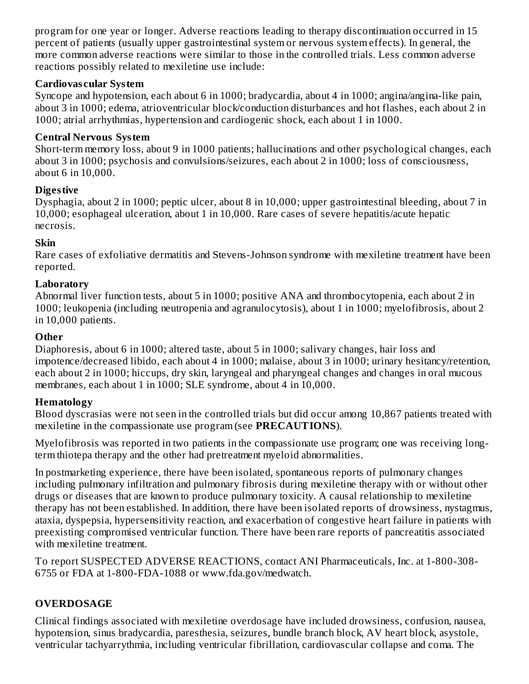program for one year or longer. Adverse reactions leading to therapy discontinuation occurred in 15 percent of patients (usually upper gastrointestinal system or nervous system effects). In general, the more common adverse reactions were similar to those in the controlled trials. Less common adverse reactions possibly related to mexiletine use include:

### **Cardiovas cular System**

Syncope and hypotension, each about 6 in 1000; bradycardia, about 4 in 1000; angina/angina-like pain, about 3 in 1000; edema, atrioventricular block/conduction disturbances and hot flashes, each about 2 in 1000; atrial arrhythmias, hypertension and cardiogenic shock, each about 1 in 1000.

### **Central Nervous System**

Short-term memory loss, about 9 in 1000 patients; hallucinations and other psychological changes, each about 3 in 1000; psychosis and convulsions/seizures, each about 2 in 1000; loss of consciousness, about 6 in 10,000.

## **Digestive**

Dysphagia, about 2 in 1000; peptic ulcer, about 8 in 10,000; upper gastrointestinal bleeding, about 7 in 10,000; esophageal ulceration, about 1 in 10,000. Rare cases of severe hepatitis/acute hepatic necrosis.

### **Skin**

Rare cases of exfoliative dermatitis and Stevens-Johnson syndrome with mexiletine treatment have been reported.

## **Laboratory**

Abnormal liver function tests, about 5 in 1000; positive ANA and thrombocytopenia, each about 2 in 1000; leukopenia (including neutropenia and agranulocytosis), about 1 in 1000; myelofibrosis, about 2 in 10,000 patients.

### **Other**

Diaphoresis, about 6 in 1000; altered taste, about 5 in 1000; salivary changes, hair loss and impotence/decreased libido, each about 4 in 1000; malaise, about 3 in 1000; urinary hesitancy/retention, each about 2 in 1000; hiccups, dry skin, laryngeal and pharyngeal changes and changes in oral mucous membranes, each about 1 in 1000; SLE syndrome, about 4 in 10,000.

## **Hematology**

Blood dyscrasias were not seen in the controlled trials but did occur among 10,867 patients treated with mexiletine in the compassionate use program (see **PRECAUTIONS**).

Myelofibrosis was reported in two patients in the compassionate use program; one was receiving longterm thiotepa therapy and the other had pretreatment myeloid abnormalities.

In postmarketing experience, there have been isolated, spontaneous reports of pulmonary changes including pulmonary infiltration and pulmonary fibrosis during mexiletine therapy with or without other drugs or diseases that are known to produce pulmonary toxicity. A causal relationship to mexiletine therapy has not been established. In addition, there have been isolated reports of drowsiness, nystagmus, ataxia, dyspepsia, hypersensitivity reaction, and exacerbation of congestive heart failure in patients with preexisting compromised ventricular function. There have been rare reports of pancreatitis associated with mexiletine treatment.

To report SUSPECTED ADVERSE REACTIONS, contact ANI Pharmaceuticals, Inc. at 1-800-308- 6755 or FDA at 1-800-FDA-1088 or www.fda.gov/medwatch.

# **OVERDOSAGE**

Clinical findings associated with mexiletine overdosage have included drowsiness, confusion, nausea, hypotension, sinus bradycardia, paresthesia, seizures, bundle branch block, AV heart block, asystole, ventricular tachyarrythmia, including ventricular fibrillation, cardiovascular collapse and coma. The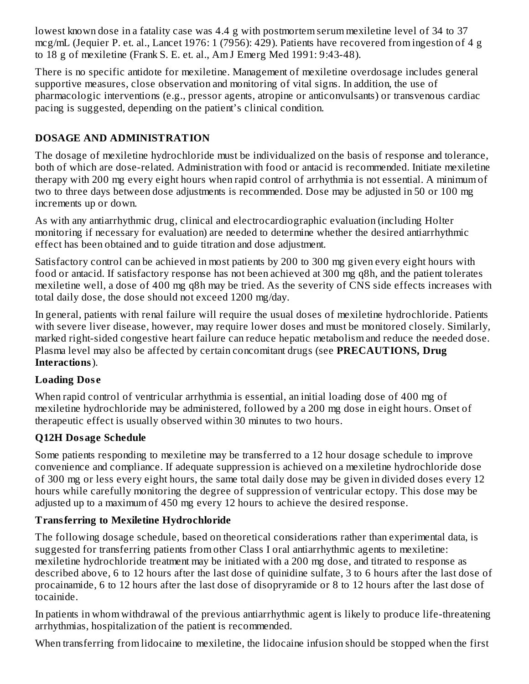lowest known dose in a fatality case was 4.4 g with postmortem serum mexiletine level of 34 to 37 mcg/mL (Jequier P. et. al., Lancet 1976: 1 (7956): 429). Patients have recovered from ingestion of 4 g to 18 g of mexiletine (Frank S. E. et. al., Am J Emerg Med 1991: 9:43-48).

There is no specific antidote for mexiletine. Management of mexiletine overdosage includes general supportive measures, close observation and monitoring of vital signs. In addition, the use of pharmacologic interventions (e.g., pressor agents, atropine or anticonvulsants) or transvenous cardiac pacing is suggested, depending on the patient's clinical condition.

# **DOSAGE AND ADMINISTRATION**

The dosage of mexiletine hydrochloride must be individualized on the basis of response and tolerance, both of which are dose-related. Administration with food or antacid is recommended. Initiate mexiletine therapy with 200 mg every eight hours when rapid control of arrhythmia is not essential. A minimum of two to three days between dose adjustments is recommended. Dose may be adjusted in 50 or 100 mg increments up or down.

As with any antiarrhythmic drug, clinical and electrocardiographic evaluation (including Holter monitoring if necessary for evaluation) are needed to determine whether the desired antiarrhythmic effect has been obtained and to guide titration and dose adjustment.

Satisfactory control can be achieved in most patients by 200 to 300 mg given every eight hours with food or antacid. If satisfactory response has not been achieved at 300 mg q8h, and the patient tolerates mexiletine well, a dose of 400 mg q8h may be tried. As the severity of CNS side effects increases with total daily dose, the dose should not exceed 1200 mg/day.

In general, patients with renal failure will require the usual doses of mexiletine hydrochloride. Patients with severe liver disease, however, may require lower doses and must be monitored closely. Similarly, marked right-sided congestive heart failure can reduce hepatic metabolism and reduce the needed dose. Plasma level may also be affected by certain concomitant drugs (see **PRECAUTIONS, Drug Interactions**).

## **Loading Dos e**

When rapid control of ventricular arrhythmia is essential, an initial loading dose of 400 mg of mexiletine hydrochloride may be administered, followed by a 200 mg dose in eight hours. Onset of therapeutic effect is usually observed within 30 minutes to two hours.

## **Q12H Dosage Schedule**

Some patients responding to mexiletine may be transferred to a 12 hour dosage schedule to improve convenience and compliance. If adequate suppression is achieved on a mexiletine hydrochloride dose of 300 mg or less every eight hours, the same total daily dose may be given in divided doses every 12 hours while carefully monitoring the degree of suppression of ventricular ectopy. This dose may be adjusted up to a maximum of 450 mg every 12 hours to achieve the desired response.

## **Transferring to Mexiletine Hydrochloride**

The following dosage schedule, based on theoretical considerations rather than experimental data, is suggested for transferring patients from other Class I oral antiarrhythmic agents to mexiletine: mexiletine hydrochloride treatment may be initiated with a 200 mg dose, and titrated to response as described above, 6 to 12 hours after the last dose of quinidine sulfate, 3 to 6 hours after the last dose of procainamide, 6 to 12 hours after the last dose of disopryramide or 8 to 12 hours after the last dose of tocainide.

In patients in whom withdrawal of the previous antiarrhythmic agent is likely to produce life-threatening arrhythmias, hospitalization of the patient is recommended.

When transferring from lidocaine to mexiletine, the lidocaine infusion should be stopped when the first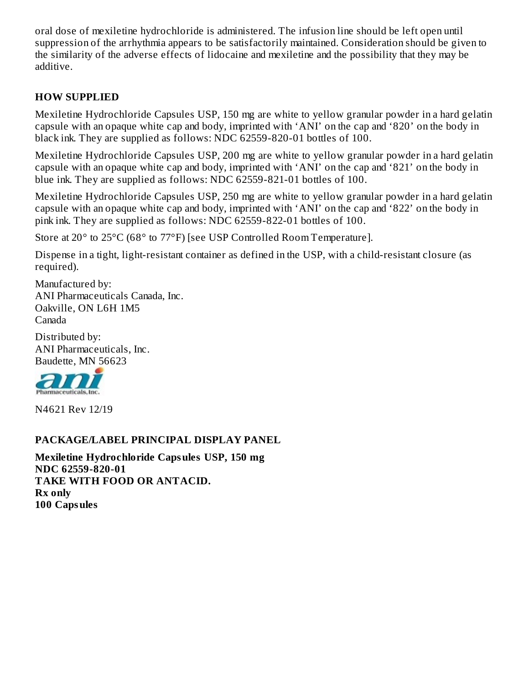oral dose of mexiletine hydrochloride is administered. The infusion line should be left open until suppression of the arrhythmia appears to be satisfactorily maintained. Consideration should be given to the similarity of the adverse effects of lidocaine and mexiletine and the possibility that they may be additive.

### **HOW SUPPLIED**

Mexiletine Hydrochloride Capsules USP, 150 mg are white to yellow granular powder in a hard gelatin capsule with an opaque white cap and body, imprinted with 'ANI' on the cap and '820' on the body in black ink. They are supplied as follows: NDC 62559-820-01 bottles of 100.

Mexiletine Hydrochloride Capsules USP, 200 mg are white to yellow granular powder in a hard gelatin capsule with an opaque white cap and body, imprinted with 'ANI' on the cap and '821' on the body in blue ink. They are supplied as follows: NDC 62559-821-01 bottles of 100.

Mexiletine Hydrochloride Capsules USP, 250 mg are white to yellow granular powder in a hard gelatin capsule with an opaque white cap and body, imprinted with 'ANI' on the cap and '822' on the body in pink ink. They are supplied as follows: NDC 62559-822-01 bottles of 100.

Store at 20° to 25°C (68° to 77°F) [see USP Controlled Room Temperature].

Dispense in a tight, light-resistant container as defined in the USP, with a child-resistant closure (as required).

Manufactured by: ANI Pharmaceuticals Canada, Inc. Oakville, ON L6H 1M5 Canada

Distributed by: ANI Pharmaceuticals, Inc. Baudette, MN 56623



N4621 Rev 12/19

#### **PACKAGE/LABEL PRINCIPAL DISPLAY PANEL**

**Mexiletine Hydrochloride Capsules USP, 150 mg NDC 62559-820-01 TAKE WITH FOOD OR ANTACID. Rx only 100 Capsules**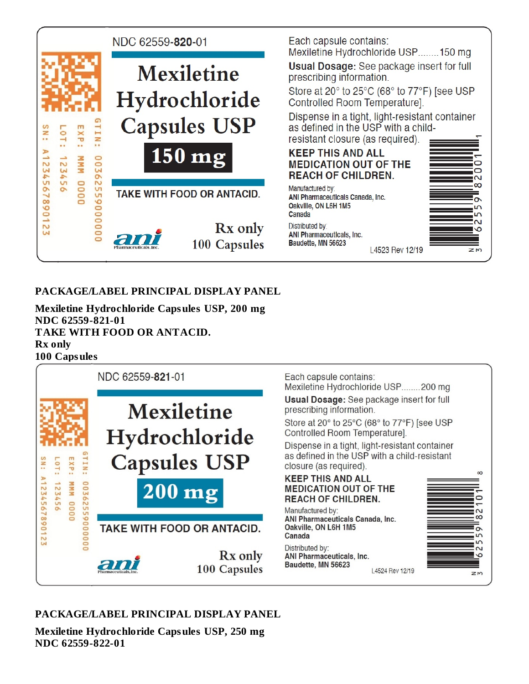

### **PACKAGE/LABEL PRINCIPAL DISPLAY PANEL**

**Mexiletine Hydrochloride Capsules USP, 200 mg NDC 62559-821-01 TAKE WITH FOOD OR ANTACID. Rx only 100 Capsules**



### **PACKAGE/LABEL PRINCIPAL DISPLAY PANEL**

**Mexiletine Hydrochloride Capsules USP, 250 mg NDC 62559-822-01**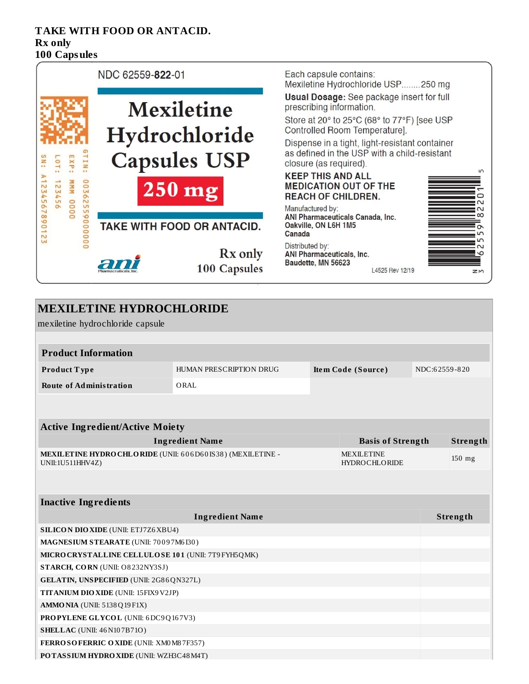#### **TAKE WITH FOOD OR ANTACID. Rx only 100 Capsules**



| <b>MEXILETINE HYDROCHLORIDE</b>                                                |                                |                                           |               |          |
|--------------------------------------------------------------------------------|--------------------------------|-------------------------------------------|---------------|----------|
| mexiletine hydrochloride capsule                                               |                                |                                           |               |          |
|                                                                                |                                |                                           |               |          |
| <b>Product Information</b>                                                     |                                |                                           |               |          |
| Product Type                                                                   | <b>HUMAN PRESCRIPTION DRUG</b> | Item Code (Source)                        | NDC:62559-820 |          |
| <b>Route of Administration</b>                                                 | ORAL                           |                                           |               |          |
|                                                                                |                                |                                           |               |          |
|                                                                                |                                |                                           |               |          |
| <b>Active Ingredient/Active Moiety</b>                                         |                                |                                           |               |          |
|                                                                                | <b>Ingredient Name</b>         | <b>Basis of Strength</b>                  |               | Strength |
| MEXILETINE HYDRO CHLORIDE (UNII: 606D60IS38) (MEXILETINE -<br>UNII:1U511HHV4Z) |                                | <b>MEXILETINE</b><br><b>HYDROCHLORIDE</b> |               | 150 mg   |
|                                                                                |                                |                                           |               |          |
|                                                                                |                                |                                           |               |          |
| <b>Inactive Ingredients</b>                                                    |                                |                                           |               |          |
|                                                                                | <b>Ingredient Name</b>         |                                           |               | Strength |
| <b>SILICON DIO XIDE (UNII: ETJ7Z6 XBU4)</b>                                    |                                |                                           |               |          |
| MAGNESIUM STEARATE (UNII: 70097M6I30)                                          |                                |                                           |               |          |
| MICRO CRYSTALLINE CELLULOSE 101 (UNII: 7T9 FYH5QMK)                            |                                |                                           |               |          |
| STARCH, CORN (UNII: O8232NY3SJ)                                                |                                |                                           |               |          |
| GELATIN, UNSPECIFIED (UNII: 2G86QN327L)                                        |                                |                                           |               |          |
| TITANIUM DIO XIDE (UNII: 15FIX9V2JP)                                           |                                |                                           |               |          |
| <b>AMMO NIA (UNII: 5138 Q19 F1X)</b>                                           |                                |                                           |               |          |
| PROPYLENE GLYCOL (UNII: 6DC9Q167V3)                                            |                                |                                           |               |          |
| <b>SHELLAC</b> (UNII: 46 N107B71O)                                             |                                |                                           |               |          |
| FERROSOFERRIC OXIDE (UNII: XM0M87F357)                                         |                                |                                           |               |          |
| POTASSIUM HYDROXIDE (UNII: WZH3C48M4T)                                         |                                |                                           |               |          |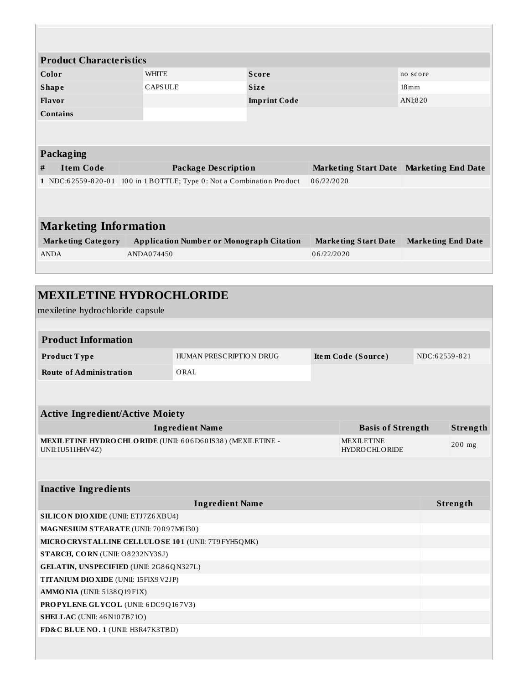| <b>Product Characteristics</b> |                |                                                                       |                                         |                           |  |  |  |  |
|--------------------------------|----------------|-----------------------------------------------------------------------|-----------------------------------------|---------------------------|--|--|--|--|
| Color                          | <b>WHITE</b>   | <b>Score</b>                                                          |                                         | no score                  |  |  |  |  |
| <b>Shape</b>                   | <b>CAPSULE</b> | <b>Size</b>                                                           |                                         | $18 \,\mathrm{mm}$        |  |  |  |  |
| Flavor                         |                | <b>Imprint Code</b>                                                   |                                         | ANI:820                   |  |  |  |  |
| <b>Contains</b>                |                |                                                                       |                                         |                           |  |  |  |  |
|                                |                |                                                                       |                                         |                           |  |  |  |  |
|                                |                |                                                                       |                                         |                           |  |  |  |  |
| Packaging                      |                |                                                                       |                                         |                           |  |  |  |  |
| <b>Item Code</b><br>#          |                | <b>Package Description</b>                                            | Marketing Start Date Marketing End Date |                           |  |  |  |  |
|                                |                | 1 NDC:62559-820-01 100 in 1 BOTTLE; Type 0: Not a Combination Product | 06/22/2020                              |                           |  |  |  |  |
|                                |                |                                                                       |                                         |                           |  |  |  |  |
|                                |                |                                                                       |                                         |                           |  |  |  |  |
| <b>Marketing Information</b>   |                |                                                                       |                                         |                           |  |  |  |  |
| <b>Marketing Category</b>      |                | <b>Application Number or Monograph Citation</b>                       | <b>Marketing Start Date</b>             | <b>Marketing End Date</b> |  |  |  |  |
| <b>ANDA</b>                    | ANDA074450     |                                                                       | 06/22/2020                              |                           |  |  |  |  |
|                                |                |                                                                       |                                         |                           |  |  |  |  |
|                                |                |                                                                       |                                         |                           |  |  |  |  |

| <b>MEXILETINE HYDROCHLORIDE</b>                                                |                         |                                           |               |          |
|--------------------------------------------------------------------------------|-------------------------|-------------------------------------------|---------------|----------|
| mexiletine hydrochloride capsule                                               |                         |                                           |               |          |
|                                                                                |                         |                                           |               |          |
| <b>Product Information</b>                                                     |                         |                                           |               |          |
| Product Type                                                                   | HUMAN PRESCRIPTION DRUG | Item Code (Source)                        | NDC:62559-821 |          |
| <b>Route of Administration</b>                                                 | ORAL                    |                                           |               |          |
|                                                                                |                         |                                           |               |          |
| <b>Active Ingredient/Active Moiety</b>                                         |                         |                                           |               |          |
|                                                                                | <b>Ingredient Name</b>  | <b>Basis of Strength</b>                  |               | Strength |
| MEXILETINE HYDRO CHLORIDE (UNII: 606D60IS38) (MEXILETINE -<br>UNII:1U511HHV4Z) |                         | <b>MEXILETINE</b><br><b>HYDROCHLORIDE</b> |               | 200 mg   |
|                                                                                |                         |                                           |               |          |
| <b>Inactive Ingredients</b>                                                    |                         |                                           |               |          |
|                                                                                | <b>Ingredient Name</b>  |                                           |               | Strength |
| <b>SILICON DIO XIDE (UNII: ETJ7Z6 XBU4)</b>                                    |                         |                                           |               |          |
| MAGNESIUM STEARATE (UNII: 70097M6I30)                                          |                         |                                           |               |          |
| MICRO CRYSTALLINE CELLULOSE 101 (UNII: 7T9 FYH5QMK)                            |                         |                                           |               |          |
| STARCH, CORN (UNII: O8232NY3SJ)                                                |                         |                                           |               |          |
| GELATIN, UNSPECIFIED (UNII: 2G86QN327L)                                        |                         |                                           |               |          |
| <b>TITANIUM DIO XIDE (UNII: 15FIX9 V2JP)</b>                                   |                         |                                           |               |          |
| <b>AMMO NIA (UNII: 5138 Q19 F1X)</b>                                           |                         |                                           |               |          |
| PROPYLENE GLYCOL (UNII: 6DC9Q167V3)                                            |                         |                                           |               |          |
| <b>SHELLAC</b> (UNII: 46 N107B71O)                                             |                         |                                           |               |          |
| FD&C BLUE NO. 1 (UNII: H3R47K3TBD)                                             |                         |                                           |               |          |
|                                                                                |                         |                                           |               |          |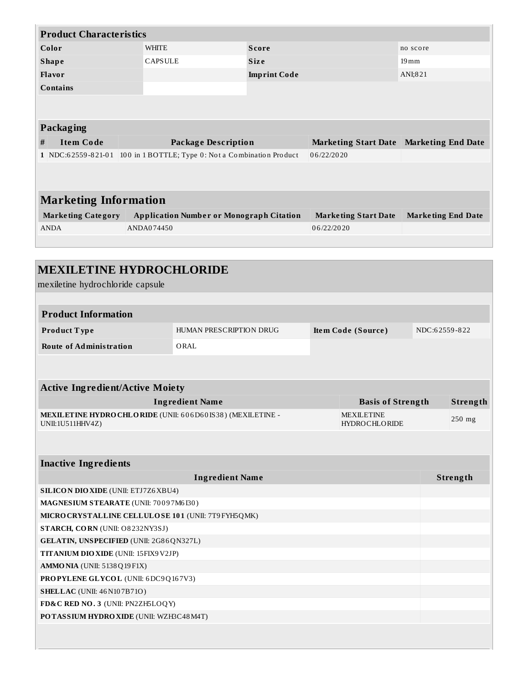|   | <b>Product Characteristics</b> |              |                                                    |                     |                             |                                                  |
|---|--------------------------------|--------------|----------------------------------------------------|---------------------|-----------------------------|--------------------------------------------------|
|   | Color                          | <b>WHITE</b> |                                                    | <b>Score</b>        |                             | no score                                         |
|   | <b>Shape</b>                   |              | <b>CAPSULE</b>                                     | <b>Size</b>         |                             | $19 \,\mathrm{mm}$                               |
|   | Flavor                         |              |                                                    | <b>Imprint Code</b> |                             | ANI;821                                          |
|   | <b>Contains</b>                |              |                                                    |                     |                             |                                                  |
|   |                                |              |                                                    |                     |                             |                                                  |
|   |                                |              |                                                    |                     |                             |                                                  |
|   | Packaging                      |              |                                                    |                     |                             |                                                  |
| # | <b>Item Code</b>               |              | <b>Package Description</b>                         |                     |                             | <b>Marketing Start Date   Marketing End Date</b> |
|   | 1 NDC:62559-821-01             |              | 100 in 1 BOTTLE; Type 0: Not a Combination Product |                     | 06/22/2020                  |                                                  |
|   |                                |              |                                                    |                     |                             |                                                  |
|   |                                |              |                                                    |                     |                             |                                                  |
|   | <b>Marketing Information</b>   |              |                                                    |                     |                             |                                                  |
|   | <b>Marketing Category</b>      |              | <b>Application Number or Monograph Citation</b>    |                     | <b>Marketing Start Date</b> | <b>Marketing End Date</b>                        |
|   | <b>ANDA</b>                    | ANDA074450   |                                                    |                     | 06/22/2020                  |                                                  |
|   |                                |              |                                                    |                     |                             |                                                  |
|   |                                |              |                                                    |                     |                             |                                                  |

| <b>MEXILETINE HYDROCHLORIDE</b>                      |                                                             |                                           |               |
|------------------------------------------------------|-------------------------------------------------------------|-------------------------------------------|---------------|
| mexiletine hydrochloride capsule                     |                                                             |                                           |               |
| <b>Product Information</b>                           |                                                             |                                           |               |
|                                                      |                                                             |                                           | NDC:62559-822 |
| Product Type                                         | HUMAN PRESCRIPTION DRUG                                     | Item Code (Source)                        |               |
| <b>Route of Administration</b>                       | ORAL                                                        |                                           |               |
|                                                      |                                                             |                                           |               |
| <b>Active Ingredient/Active Moiety</b>               |                                                             |                                           |               |
|                                                      | <b>Ingredient Name</b>                                      | <b>Basis of Strength</b>                  | Strength      |
| UNII:1U511HHV4Z)                                     | MEXIL ETINE HYDRO CHLORIDE (UNII: 606D60IS38) (MEXILETINE - | <b>MEXILETINE</b><br><b>HYDROCHLORIDE</b> | 250 mg        |
|                                                      |                                                             |                                           |               |
| <b>Inactive Ingredients</b>                          |                                                             |                                           |               |
|                                                      | <b>Ingredient Name</b>                                      |                                           | Strength      |
| SILICON DIO XIDE (UNII: ETJ7Z6XBU4)                  |                                                             |                                           |               |
| MAGNESIUM STEARATE (UNII: 70097M6I30)                |                                                             |                                           |               |
| MICRO CRYSTALLINE CELLULO SE 101 (UNII: 7T9 FYH5QMK) |                                                             |                                           |               |
| STARCH, CORN (UNII: O8232NY3SJ)                      |                                                             |                                           |               |
| GELATIN, UNSPECIFIED (UNII: 2G86QN327L)              |                                                             |                                           |               |
| TITANIUM DIO XIDE (UNII: 15FIX9V2JP)                 |                                                             |                                           |               |
| <b>AMMO NIA (UNII: 5138 Q19 F1X)</b>                 |                                                             |                                           |               |
| PROPYLENE GLYCOL (UNII: 6DC9Q167V3)                  |                                                             |                                           |               |
| <b>SHELLAC</b> (UNII: 46 N107B71O)                   |                                                             |                                           |               |
| FD&C RED NO. 3 (UNII: PN2ZH5LOQY)                    |                                                             |                                           |               |
| POTASSIUM HYDROXIDE (UNII: WZH3C48M4T)               |                                                             |                                           |               |
|                                                      |                                                             |                                           |               |
|                                                      |                                                             |                                           |               |